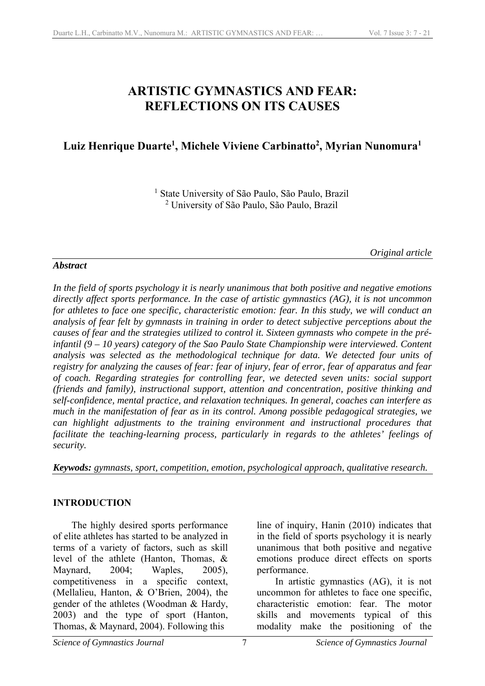# **ARTISTIC GYMNASTICS AND FEAR: REFLECTIONS ON ITS CAUSES**

# Luiz Henrique Duarte<sup>1</sup>, Michele Viviene Carbinatto<sup>2</sup>, Myrian Nunomura<sup>1</sup>

<sup>1</sup> State University of São Paulo, São Paulo, Brazil 2 University of São Paulo, São Paulo, Brazil

*Original article* 

## *Abstract*

*In the field of sports psychology it is nearly unanimous that both positive and negative emotions directly affect sports performance. In the case of artistic gymnastics (AG), it is not uncommon for athletes to face one specific, characteristic emotion: fear. In this study, we will conduct an analysis of fear felt by gymnasts in training in order to detect subjective perceptions about the causes of fear and the strategies utilized to control it. Sixteen gymnasts who compete in the préinfantil (9 – 10 years) category of the Sao Paulo State Championship were interviewed. Content analysis was selected as the methodological technique for data. We detected four units of registry for analyzing the causes of fear: fear of injury, fear of error, fear of apparatus and fear of coach. Regarding strategies for controlling fear, we detected seven units: social support (friends and family), instructional support, attention and concentration, positive thinking and self-confidence, mental practice, and relaxation techniques. In general, coaches can interfere as much in the manifestation of fear as in its control. Among possible pedagogical strategies, we can highlight adjustments to the training environment and instructional procedures that facilitate the teaching-learning process, particularly in regards to the athletes' feelings of security.* 

*Keywods: gymnasts, sport, competition, emotion, psychological approach, qualitative research.* 

# **INTRODUCTION**

The highly desired sports performance of elite athletes has started to be analyzed in terms of a variety of factors, such as skill level of the athlete (Hanton, Thomas, & Maynard, 2004; Waples, 2005), competitiveness in a specific context, (Mellalieu, Hanton, & O'Brien, 2004), the gender of the athletes (Woodman & Hardy, 2003) and the type of sport (Hanton, Thomas, & Maynard, 2004). Following this

line of inquiry, Hanin (2010) indicates that in the field of sports psychology it is nearly unanimous that both positive and negative emotions produce direct effects on sports performance.

In artistic gymnastics (AG), it is not uncommon for athletes to face one specific, characteristic emotion: fear. The motor skills and movements typical of this modality make the positioning of the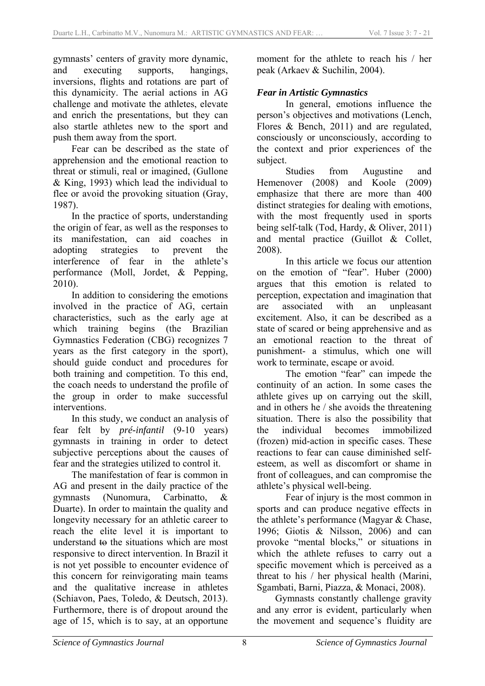gymnasts' centers of gravity more dynamic, and executing supports, hangings, inversions, flights and rotations are part of this dynamicity. The aerial actions in AG challenge and motivate the athletes, elevate and enrich the presentations, but they can also startle athletes new to the sport and push them away from the sport.

Fear can be described as the state of apprehension and the emotional reaction to threat or stimuli, real or imagined, (Gullone & King, 1993) which lead the individual to flee or avoid the provoking situation (Gray, 1987).

In the practice of sports, understanding the origin of fear, as well as the responses to its manifestation, can aid coaches in adopting strategies to prevent the interference of fear in the athlete's performance (Moll, Jordet, & Pepping, 2010).

In addition to considering the emotions involved in the practice of AG, certain characteristics, such as the early age at which training begins (the Brazilian Gymnastics Federation (CBG) recognizes 7 years as the first category in the sport), should guide conduct and procedures for both training and competition. To this end, the coach needs to understand the profile of the group in order to make successful interventions.

In this study, we conduct an analysis of fear felt by *pré-infantil* (9-10 years) gymnasts in training in order to detect subjective perceptions about the causes of fear and the strategies utilized to control it.

The manifestation of fear is common in AG and present in the daily practice of the gymnasts (Nunomura, Carbinatto, & Duarte). In order to maintain the quality and longevity necessary for an athletic career to reach the elite level it is important to understand to the situations which are most responsive to direct intervention. In Brazil it is not yet possible to encounter evidence of this concern for reinvigorating main teams and the qualitative increase in athletes (Schiavon, Paes, Toledo, & Deutsch, 2013). Furthermore, there is of dropout around the age of 15, which is to say, at an opportune moment for the athlete to reach his / her peak (Arkaev & Suchilin, 2004).

### *Fear in Artistic Gymnastics*

In general, emotions influence the person's objectives and motivations (Lench, Flores & Bench, 2011) and are regulated, consciously or unconsciously, according to the context and prior experiences of the subject.

 Studies from Augustine and Hemenover (2008) and Koole (2009) emphasize that there are more than 400 distinct strategies for dealing with emotions, with the most frequently used in sports being self-talk (Tod, Hardy, & Oliver, 2011) and mental practice (Guillot & Collet, 2008).

 In this article we focus our attention on the emotion of "fear". Huber (2000) argues that this emotion is related to perception, expectation and imagination that are associated with an unpleasant excitement. Also, it can be described as a state of scared or being apprehensive and as an emotional reaction to the threat of punishment- a stimulus, which one will work to terminate, escape or avoid.

 The emotion "fear" can impede the continuity of an action. In some cases the athlete gives up on carrying out the skill, and in others he / she avoids the threatening situation. There is also the possibility that the individual becomes immobilized (frozen) mid-action in specific cases. These reactions to fear can cause diminished selfesteem, as well as discomfort or shame in front of colleagues, and can compromise the athlete's physical well-being.

 Fear of injury is the most common in sports and can produce negative effects in the athlete's performance (Magyar & Chase, 1996; Giotis & Nilsson, 2006) and can provoke "mental blocks," or situations in which the athlete refuses to carry out a specific movement which is perceived as a threat to his / her physical health (Marini, Sgambati, Barni, Piazza, & Monaci, 2008).

Gymnasts constantly challenge gravity and any error is evident, particularly when the movement and sequence's fluidity are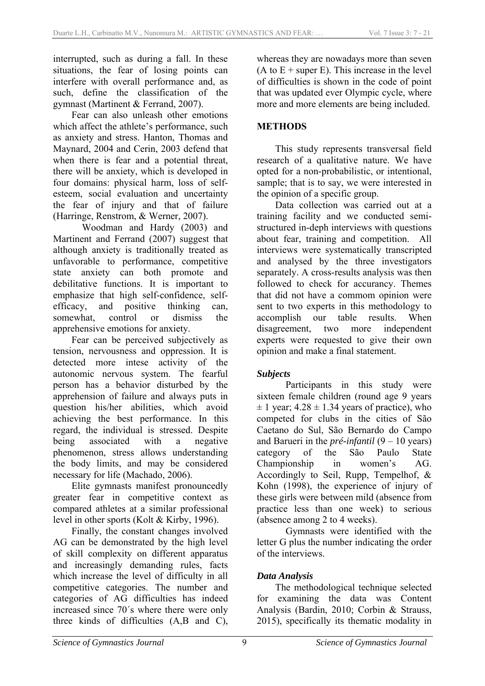interrupted, such as during a fall. In these situations, the fear of losing points can interfere with overall performance and, as such, define the classification of the gymnast (Martinent & Ferrand, 2007).

Fear can also unleash other emotions which affect the athlete's performance, such as anxiety and stress. Hanton, Thomas and Maynard, 2004 and Cerin, 2003 defend that when there is fear and a potential threat, there will be anxiety, which is developed in four domains: physical harm, loss of selfesteem, social evaluation and uncertainty the fear of injury and that of failure (Harringe, Renstrom, & Werner, 2007).

 Woodman and Hardy (2003) and Martinent and Ferrand (2007) suggest that although anxiety is traditionally treated as unfavorable to performance, competitive state anxiety can both promote and debilitative functions. It is important to emphasize that high self-confidence, selfefficacy, and positive thinking can, somewhat, control or dismiss the apprehensive emotions for anxiety.

Fear can be perceived subjectively as tension, nervousness and oppression. It is detected more intese activity of the autonomic nervous system. The fearful person has a behavior disturbed by the apprehension of failure and always puts in question his/her abilities, which avoid achieving the best performance. In this regard, the individual is stressed. Despite being associated with a negative phenomenon, stress allows understanding the body limits, and may be considered necessary for life (Machado, 2006).

Elite gymnasts manifest pronouncedly greater fear in competitive context as compared athletes at a similar professional level in other sports (Kolt & Kirby, 1996).

Finally, the constant changes involved AG can be demonstrated by the high level of skill complexity on different apparatus and increasingly demanding rules, facts which increase the level of difficulty in all competitive categories. The number and categories of AG difficulties has indeed increased since 70´s where there were only three kinds of difficulties (A,B and C), whereas they are nowadays more than seven  $(A$  to  $E +$  super E). This increase in the level of difficulties is shown in the code of point that was updated ever Olympic cycle, where more and more elements are being included.

# **METHODS**

This study represents transversal field research of a qualitative nature. We have opted for a non-probabilistic, or intentional, sample; that is to say, we were interested in the opinion of a specific group.

Data collection was carried out at a training facility and we conducted semistructured in-deph interviews with questions about fear, training and competition. All interviews were systematically transcripted and analysed by the three investigators separately. A cross-results analysis was then followed to check for accurancy. Themes that did not have a commom opinion were sent to two experts in this methodology to accomplish our table results. When disagreement, two more independent experts were requested to give their own opinion and make a final statement.

#### *Subjects*

 Participants in this study were sixteen female children (round age 9 years  $\pm$  1 year; 4.28  $\pm$  1.34 years of practice), who competed for clubs in the cities of São Caetano do Sul, São Bernardo do Campo and Barueri in the *pré-infantil* (9 – 10 years) category of the São Paulo State Championship in women's AG. Accordingly to Seil, Rupp, Tempelhof, & Kohn (1998), the experience of injury of these girls were between mild (absence from practice less than one week) to serious (absence among 2 to 4 weeks).

 Gymnasts were identified with the letter G plus the number indicating the order of the interviews.

# *Data Analysis*

The methodological technique selected for examining the data was Content Analysis (Bardin, 2010; Corbin & Strauss, 2015), specifically its thematic modality in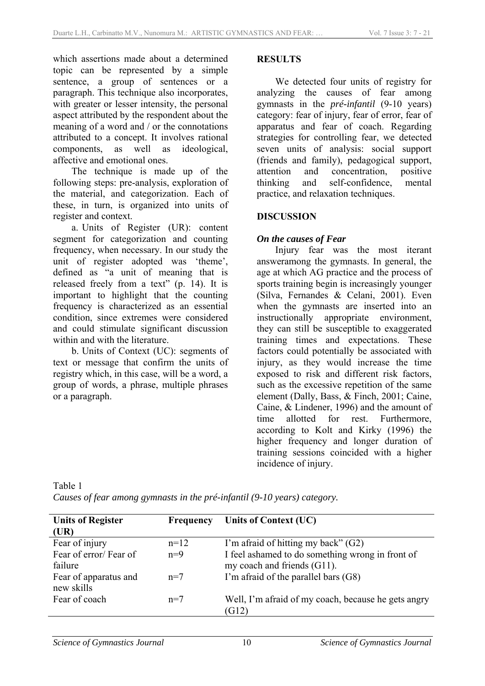which assertions made about a determined topic can be represented by a simple sentence, a group of sentences or a paragraph. This technique also incorporates, with greater or lesser intensity, the personal aspect attributed by the respondent about the meaning of a word and / or the connotations attributed to a concept. It involves rational components, as well as ideological, affective and emotional ones.

The technique is made up of the following steps: pre-analysis, exploration of the material, and categorization. Each of these, in turn, is organized into units of register and context.

a. Units of Register (UR): content segment for categorization and counting frequency, when necessary. In our study the unit of register adopted was 'theme', defined as "a unit of meaning that is released freely from a text" (p. 14). It is important to highlight that the counting frequency is characterized as an essential condition, since extremes were considered and could stimulate significant discussion within and with the literature.

b. Units of Context (UC): segments of text or message that confirm the units of registry which, in this case, will be a word, a group of words, a phrase, multiple phrases or a paragraph.

#### **RESULTS**

We detected four units of registry for analyzing the causes of fear among gymnasts in the *pré-infantil* (9-10 years) category: fear of injury, fear of error, fear of apparatus and fear of coach. Regarding strategies for controlling fear, we detected seven units of analysis: social support (friends and family), pedagogical support, attention and concentration, positive thinking and self-confidence, mental practice, and relaxation techniques.

## **DISCUSSION**

## *On the causes of Fear*

Injury fear was the most iterant answeramong the gymnasts. In general, the age at which AG practice and the process of sports training begin is increasingly younger (Silva, Fernandes & Celani, 2001). Even when the gymnasts are inserted into an instructionally appropriate environment, they can still be susceptible to exaggerated training times and expectations. These factors could potentially be associated with injury, as they would increase the time exposed to risk and different risk factors, such as the excessive repetition of the same element (Dally, Bass, & Finch, 2001; Caine, Caine, & Lindener, 1996) and the amount of time allotted for rest. Furthermore, according to Kolt and Kirky (1996) the higher frequency and longer duration of training sessions coincided with a higher incidence of injury.

| <b>Units of Register</b> | <b>Frequency</b> | <b>Units of Context (UC)</b>                        |
|--------------------------|------------------|-----------------------------------------------------|
| (UR)                     |                  |                                                     |
| Fear of injury           | $n=12$           | I'm afraid of hitting my back" (G2)                 |
| Fear of error/Fear of    | $n=9$            | I feel ashamed to do something wrong in front of    |
| failure                  |                  | my coach and friends (G11).                         |
| Fear of apparatus and    | $n=7$            | I'm afraid of the parallel bars (G8)                |
| new skills               |                  |                                                     |
| Fear of coach            | $n=7$            | Well, I'm afraid of my coach, because he gets angry |
|                          |                  | (G12)                                               |

*Causes of fear among gymnasts in the pré-infantil (9-10 years) category.* 

Table 1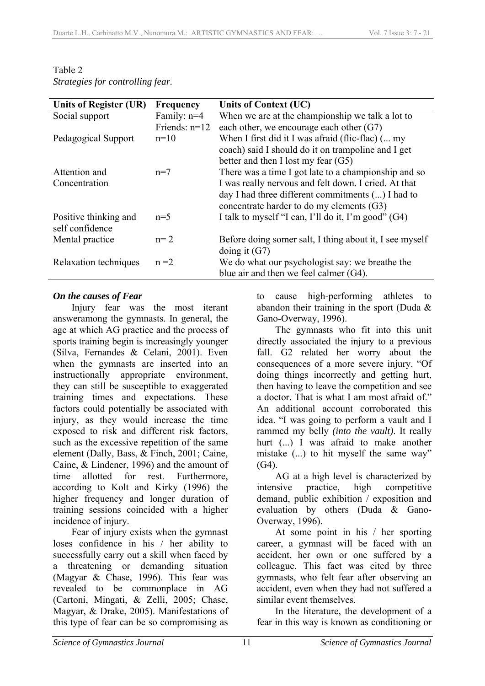| Units of Register (UR) | <b>Frequency</b> | Units of Context (UC)                                   |
|------------------------|------------------|---------------------------------------------------------|
| Social support         | Family: $n=4$    | When we are at the championship we talk a lot to        |
|                        | Friends: $n=12$  | each other, we encourage each other $(G7)$              |
| Pedagogical Support    | $n=10$           | When I first did it I was afraid (flic-flac) ( my       |
|                        |                  | coach) said I should do it on trampoline and I get      |
|                        |                  | better and then I lost my fear $(G5)$                   |
| Attention and          | $n=7$            | There was a time I got late to a championship and so    |
| Concentration          |                  | I was really nervous and felt down. I cried. At that    |
|                        |                  | day I had three different commitments () I had to       |
|                        |                  | concentrate harder to do my elements (G3)               |
| Positive thinking and  | $n=5$            | I talk to myself "I can, I'll do it, I'm good" (G4)     |
| self confidence        |                  |                                                         |
| Mental practice        | $n=2$            | Before doing somer salt, I thing about it, I see myself |
|                        |                  | doing it $(G7)$                                         |
|                        | $n = 2$          |                                                         |
|                        |                  | blue air and then we feel calmer $(G4)$ .               |
| Relaxation techniques  |                  | We do what our psychologist say: we breathe the         |

Table 2 *Strategies for controlling fear.* 

#### *On the causes of Fear*

Injury fear was the most iterant answeramong the gymnasts. In general, the age at which AG practice and the process of sports training begin is increasingly younger (Silva, Fernandes & Celani, 2001). Even when the gymnasts are inserted into an instructionally appropriate environment, they can still be susceptible to exaggerated training times and expectations. These factors could potentially be associated with injury, as they would increase the time exposed to risk and different risk factors, such as the excessive repetition of the same element (Dally, Bass, & Finch, 2001; Caine, Caine, & Lindener, 1996) and the amount of time allotted for rest. Furthermore, according to Kolt and Kirky (1996) the higher frequency and longer duration of training sessions coincided with a higher incidence of injury.

Fear of injury exists when the gymnast loses confidence in his / her ability to successfully carry out a skill when faced by a threatening or demanding situation (Magyar & Chase, 1996). This fear was revealed to be commonplace in AG (Cartoni, Mingati, & Zelli, 2005; Chase, Magyar, & Drake, 2005). Manifestations of this type of fear can be so compromising as

to cause high-performing athletes to abandon their training in the sport (Duda & Gano-Overway, 1996).

The gymnasts who fit into this unit directly associated the injury to a previous fall. G2 related her worry about the consequences of a more severe injury. "Of doing things incorrectly and getting hurt, then having to leave the competition and see a doctor. That is what I am most afraid of." An additional account corroborated this idea. "I was going to perform a vault and I rammed my belly *(into the vault)*. It really hurt (...) I was afraid to make another mistake (...) to hit myself the same way" (G4).

AG at a high level is characterized by intensive practice, high competitive demand, public exhibition / exposition and evaluation by others (Duda & Gano-Overway, 1996).

At some point in his / her sporting career, a gymnast will be faced with an accident, her own or one suffered by a colleague. This fact was cited by three gymnasts, who felt fear after observing an accident, even when they had not suffered a similar event themselves.

In the literature, the development of a fear in this way is known as conditioning or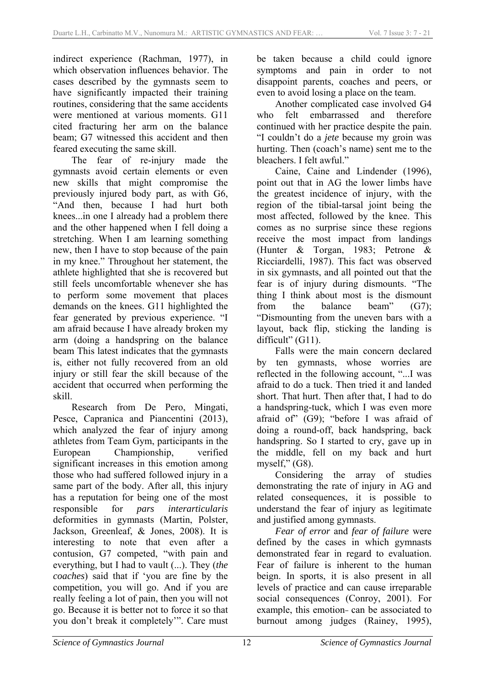indirect experience (Rachman, 1977), in which observation influences behavior. The cases described by the gymnasts seem to have significantly impacted their training routines, considering that the same accidents were mentioned at various moments. G11 cited fracturing her arm on the balance beam; G7 witnessed this accident and then feared executing the same skill.

The fear of re-injury made the gymnasts avoid certain elements or even new skills that might compromise the previously injured body part, as with G6, "And then, because I had hurt both knees...in one I already had a problem there and the other happened when I fell doing a stretching. When I am learning something new, then I have to stop because of the pain in my knee." Throughout her statement, the athlete highlighted that she is recovered but still feels uncomfortable whenever she has to perform some movement that places demands on the knees. G11 highlighted the fear generated by previous experience. "I am afraid because I have already broken my arm (doing a handspring on the balance beam This latest indicates that the gymnasts is, either not fully recovered from an old injury or still fear the skill because of the accident that occurred when performing the skill.

Research from De Pero, Mingati, Pesce, Capranica and Piancentini (2013), which analyzed the fear of injury among athletes from Team Gym, participants in the European Championship, verified significant increases in this emotion among those who had suffered followed injury in a same part of the body. After all, this injury has a reputation for being one of the most responsible for *pars interarticularis* deformities in gymnasts (Martin, Polster, Jackson, Greenleaf, & Jones, 2008). It is interesting to note that even after a contusion, G7 competed, "with pain and everything, but I had to vault (...). They (*the coaches*) said that if 'you are fine by the competition, you will go. And if you are really feeling a lot of pain, then you will not go. Because it is better not to force it so that you don't break it completely'". Care must be taken because a child could ignore symptoms and pain in order to not disappoint parents, coaches and peers, or even to avoid losing a place on the team.

Another complicated case involved G4 who felt embarrassed and therefore continued with her practice despite the pain. "I couldn't do a *jete* because my groin was hurting. Then (coach's name) sent me to the bleachers. I felt awful."

Caine, Caine and Lindender (1996), point out that in AG the lower limbs have the greatest incidence of injury, with the region of the tibial-tarsal joint being the most affected, followed by the knee. This comes as no surprise since these regions receive the most impact from landings (Hunter & Torgan, 1983; Petrone & Ricciardelli, 1987). This fact was observed in six gymnasts, and all pointed out that the fear is of injury during dismounts. "The thing I think about most is the dismount from the balance beam" (G7); "Dismounting from the uneven bars with a layout, back flip, sticking the landing is difficult" (G11).

Falls were the main concern declared by ten gymnasts, whose worries are reflected in the following account, "...I was afraid to do a tuck. Then tried it and landed short. That hurt. Then after that, I had to do a handspring-tuck, which I was even more afraid of" (G9); "before I was afraid of doing a round-off, back handspring, back handspring. So I started to cry, gave up in the middle, fell on my back and hurt myself," (G8).

Considering the array of studies demonstrating the rate of injury in AG and related consequences, it is possible to understand the fear of injury as legitimate and justified among gymnasts.

*Fear of error* and *fear of failure* were defined by the cases in which gymnasts demonstrated fear in regard to evaluation. Fear of failure is inherent to the human beign. In sports, it is also present in all levels of practice and can cause irreparable social consequences (Conroy, 2001). For example, this emotion- can be associated to burnout among judges (Rainey, 1995),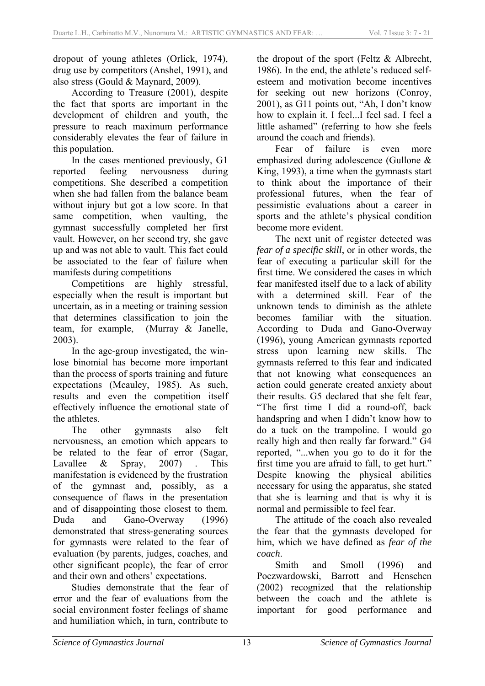dropout of young athletes (Orlick, 1974), drug use by competitors (Anshel, 1991), and also stress (Gould & Maynard, 2009).

According to Treasure (2001), despite the fact that sports are important in the development of children and youth, the pressure to reach maximum performance considerably elevates the fear of failure in this population.

In the cases mentioned previously, G1 reported feeling nervousness during competitions. She described a competition when she had fallen from the balance beam without injury but got a low score. In that same competition, when vaulting, the gymnast successfully completed her first vault. However, on her second try, she gave up and was not able to vault. This fact could be associated to the fear of failure when manifests during competitions

Competitions are highly stressful, especially when the result is important but uncertain, as in a meeting or training session that determines classification to join the team, for example, (Murray & Janelle, 2003).

In the age-group investigated, the winlose binomial has become more important than the process of sports training and future expectations (Mcauley, 1985). As such, results and even the competition itself effectively influence the emotional state of the athletes.

The other gymnasts also felt nervousness, an emotion which appears to be related to the fear of error (Sagar, Lavallee & Spray, 2007). This manifestation is evidenced by the frustration of the gymnast and, possibly, as a consequence of flaws in the presentation and of disappointing those closest to them. Duda and Gano-Overway (1996) demonstrated that stress-generating sources for gymnasts were related to the fear of evaluation (by parents, judges, coaches, and other significant people), the fear of error and their own and others' expectations.

Studies demonstrate that the fear of error and the fear of evaluations from the social environment foster feelings of shame and humiliation which, in turn, contribute to the dropout of the sport (Feltz & Albrecht, 1986). In the end, the athlete's reduced selfesteem and motivation become incentives for seeking out new horizons (Conroy, 2001), as G11 points out, "Ah, I don't know how to explain it. I feel...I feel sad. I feel a little ashamed" (referring to how she feels around the coach and friends).

Fear of failure is even more emphasized during adolescence (Gullone & King, 1993), a time when the gymnasts start to think about the importance of their professional futures, when the fear of pessimistic evaluations about a career in sports and the athlete's physical condition become more evident.

The next unit of register detected was *fear of a specific skill*, or in other words, the fear of executing a particular skill for the first time. We considered the cases in which fear manifested itself due to a lack of ability with a determined skill. Fear of the unknown tends to diminish as the athlete becomes familiar with the situation. According to Duda and Gano-Overway (1996), young American gymnasts reported stress upon learning new skills. The gymnasts referred to this fear and indicated that not knowing what consequences an action could generate created anxiety about their results. G5 declared that she felt fear, "The first time I did a round-off, back handspring and when I didn't know how to do a tuck on the trampoline. I would go really high and then really far forward." G4 reported, "...when you go to do it for the first time you are afraid to fall, to get hurt." Despite knowing the physical abilities necessary for using the apparatus, she stated that she is learning and that is why it is normal and permissible to feel fear.

The attitude of the coach also revealed the fear that the gymnasts developed for him, which we have defined as *fear of the coach*.

Smith and Smoll (1996) and Poczwardowski, Barrott and Henschen (2002) recognized that the relationship between the coach and the athlete is important for good performance and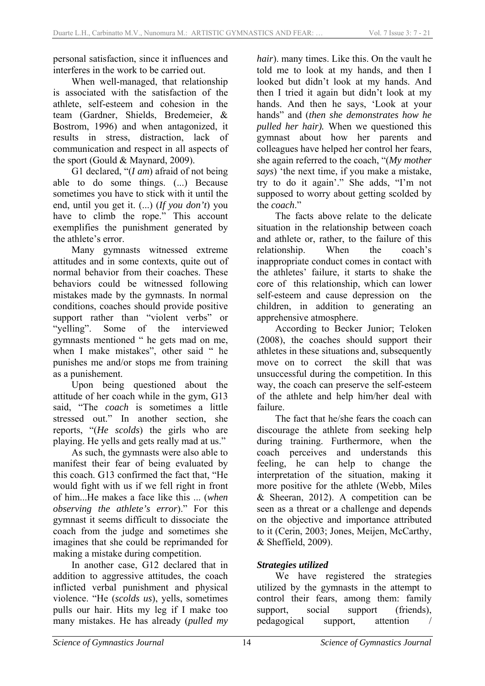personal satisfaction, since it influences and interferes in the work to be carried out.

When well-managed, that relationship is associated with the satisfaction of the athlete, self-esteem and cohesion in the team (Gardner, Shields, Bredemeier, & Bostrom, 1996) and when antagonized, it results in stress, distraction, lack of communication and respect in all aspects of the sport (Gould & Maynard, 2009).

G1 declared, "(*I am*) afraid of not being able to do some things. (...) Because sometimes you have to stick with it until the end, until you get it. (...) (*If you don't*) you have to climb the rope." This account exemplifies the punishment generated by the athlete's error.

Many gymnasts witnessed extreme attitudes and in some contexts, quite out of normal behavior from their coaches. These behaviors could be witnessed following mistakes made by the gymnasts. In normal conditions, coaches should provide positive support rather than "violent verbs" or "yelling". Some of the interviewed gymnasts mentioned " he gets mad on me, when I make mistakes", other said " he punishes me and/or stops me from training as a punishement.

Upon being questioned about the attitude of her coach while in the gym, G13 said, "The *coach* is sometimes a little stressed out." In another section, she reports, "(*He scolds*) the girls who are playing. He yells and gets really mad at us."

As such, the gymnasts were also able to manifest their fear of being evaluated by this coach. G13 confirmed the fact that, "He would fight with us if we fell right in front of him...He makes a face like this ... (*when observing the athlete's error*)." For this gymnast it seems difficult to dissociate the coach from the judge and sometimes she imagines that she could be reprimanded for making a mistake during competition.

In another case, G12 declared that in addition to aggressive attitudes, the coach inflicted verbal punishment and physical violence. "He (*scolds us*), yells, sometimes pulls our hair. Hits my leg if I make too many mistakes. He has already (*pulled my* 

*hair*). many times. Like this. On the vault he told me to look at my hands, and then I looked but didn't look at my hands. And then I tried it again but didn't look at my hands. And then he says, 'Look at your hands" and (*then she demonstrates how he pulled her hair).* When we questioned this gymnast about how her parents and colleagues have helped her control her fears, she again referred to the coach, "(*My mother says*) 'the next time, if you make a mistake, try to do it again'." She adds, "I'm not supposed to worry about getting scolded by the *coach*."

The facts above relate to the delicate situation in the relationship between coach and athlete or, rather, to the failure of this relationship. When the coach's inappropriate conduct comes in contact with the athletes' failure, it starts to shake the core of this relationship, which can lower self-esteem and cause depression on the children, in addition to generating an apprehensive atmosphere.

According to Becker Junior; Teloken (2008), the coaches should support their athletes in these situations and, subsequently<br>move on to correct the skill that was move on to correct unsuccessful during the competition. In this way, the coach can preserve the self-esteem of the athlete and help him/her deal with failure.

The fact that he/she fears the coach can discourage the athlete from seeking help during training. Furthermore, when the coach perceives and understands this feeling, he can help to change the interpretation of the situation, making it more positive for the athlete (Webb, Miles & Sheeran, 2012). A competition can be seen as a threat or a challenge and depends on the objective and importance attributed to it (Cerin, 2003; Jones, Meijen, McCarthy, & Sheffield, 2009).

# *Strategies utilized*

We have registered the strategies utilized by the gymnasts in the attempt to control their fears, among them: family support, social support (friends), pedagogical support, attention /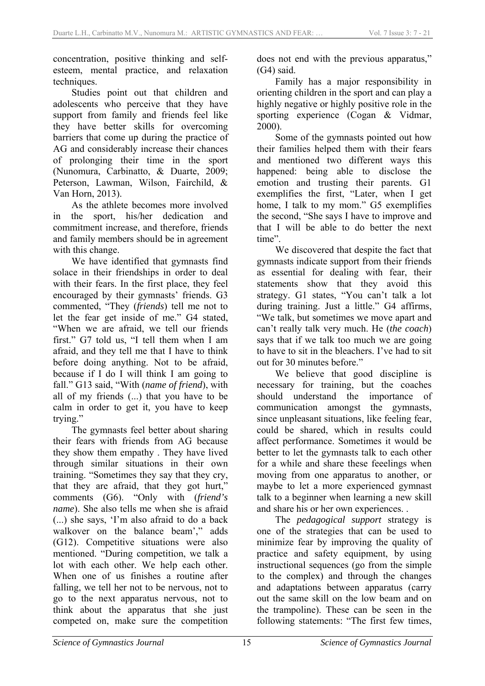concentration, positive thinking and selfesteem, mental practice, and relaxation techniques.

Studies point out that children and adolescents who perceive that they have support from family and friends feel like they have better skills for overcoming barriers that come up during the practice of AG and considerably increase their chances of prolonging their time in the sport (Nunomura, Carbinatto, & Duarte, 2009; Peterson, Lawman, Wilson, Fairchild, & Van Horn, 2013).

As the athlete becomes more involved in the sport, his/her dedication and commitment increase, and therefore, friends and family members should be in agreement with this change.

We have identified that gymnasts find solace in their friendships in order to deal with their fears. In the first place, they feel encouraged by their gymnasts' friends. G3 commented, "They (*friends*) tell me not to let the fear get inside of me." G4 stated, "When we are afraid, we tell our friends first." G7 told us, "I tell them when I am afraid, and they tell me that I have to think before doing anything. Not to be afraid, because if I do I will think I am going to fall." G13 said, "With (*name of friend*), with all of my friends (...) that you have to be calm in order to get it, you have to keep trying."

The gymnasts feel better about sharing their fears with friends from AG because they show them empathy . They have lived through similar situations in their own training. "Sometimes they say that they cry, that they are afraid, that they got hurt," comments (G6). "Only with (*friend's name*). She also tells me when she is afraid (...) she says, 'I'm also afraid to do a back walkover on the balance beam'," adds (G12). Competitive situations were also mentioned. "During competition, we talk a lot with each other. We help each other. When one of us finishes a routine after falling, we tell her not to be nervous, not to go to the next apparatus nervous, not to think about the apparatus that she just competed on, make sure the competition does not end with the previous apparatus," (G4) said.

Family has a major responsibility in orienting children in the sport and can play a highly negative or highly positive role in the sporting experience (Cogan & Vidmar, 2000).

Some of the gymnasts pointed out how their families helped them with their fears and mentioned two different ways this happened: being able to disclose the emotion and trusting their parents. G1 exemplifies the first, "Later, when I get home, I talk to my mom." G5 exemplifies the second, "She says I have to improve and that I will be able to do better the next time".

We discovered that despite the fact that gymnasts indicate support from their friends as essential for dealing with fear, their statements show that they avoid this strategy. G1 states, "You can't talk a lot during training. Just a little." G4 affirms, "We talk, but sometimes we move apart and can't really talk very much. He (*the coach*) says that if we talk too much we are going to have to sit in the bleachers. I've had to sit out for 30 minutes before."

We believe that good discipline is necessary for training, but the coaches should understand the importance of communication amongst the gymnasts, since unpleasant situations, like feeling fear, could be shared, which in results could affect performance. Sometimes it would be better to let the gymnasts talk to each other for a while and share these feeelings when moving from one apparatus to another, or maybe to let a more experienced gymnast talk to a beginner when learning a new skill and share his or her own experiences. .

The *pedagogical support* strategy is one of the strategies that can be used to minimize fear by improving the quality of practice and safety equipment, by using instructional sequences (go from the simple to the complex) and through the changes and adaptations between apparatus (carry out the same skill on the low beam and on the trampoline). These can be seen in the following statements: "The first few times,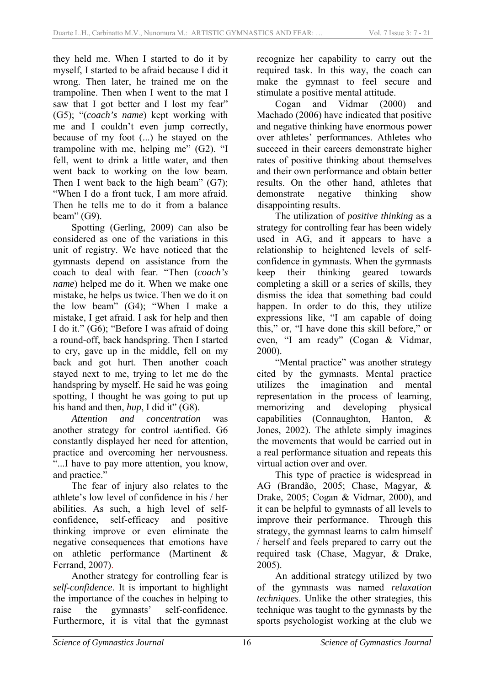they held me. When I started to do it by myself, I started to be afraid because I did it wrong. Then later, he trained me on the trampoline. Then when I went to the mat I saw that I got better and I lost my fear" (G5); "(*coach's name*) kept working with me and I couldn't even jump correctly, because of my foot (...) he stayed on the trampoline with me, helping me" (G2). "I fell, went to drink a little water, and then went back to working on the low beam. Then I went back to the high beam" (G7); "When I do a front tuck, I am more afraid. Then he tells me to do it from a balance beam" (G9).

Spotting (Gerling, 2009) Can also be considered as one of the variations in this unit of registry. We have noticed that the gymnasts depend on assistance from the coach to deal with fear. "Then (*coach's name*) helped me do it. When we make one mistake, he helps us twice. Then we do it on the low beam" (G4); "When I make a mistake, I get afraid. I ask for help and then I do it." (G6); "Before I was afraid of doing a round-off, back handspring. Then I started to cry, gave up in the middle, fell on my back and got hurt. Then another coach stayed next to me, trying to let me do the handspring by myself. He said he was going spotting, I thought he was going to put up his hand and then, *hup*, I did it" (G8).

*Attention and concentration* was another strategy for control identified. G6 constantly displayed her need for attention, practice and overcoming her nervousness. "...I have to pay more attention, you know, and practice."

The fear of injury also relates to the athlete's low level of confidence in his / her abilities. As such, a high level of selfconfidence, self-efficacy and positive thinking improve or even eliminate the negative consequences that emotions have on athletic performance (Martinent & Ferrand, 2007).

Another strategy for controlling fear is *self-confidence*. It is important to highlight the importance of the coaches in helping to raise the gymnasts' self-confidence. Furthermore, it is vital that the gymnast recognize her capability to carry out the required task. In this way, the coach can make the gymnast to feel secure and stimulate a positive mental attitude.

Cogan and Vidmar (2000) and Machado (2006) have indicated that positive and negative thinking have enormous power over athletes' performances. Athletes who succeed in their careers demonstrate higher rates of positive thinking about themselves and their own performance and obtain better results. On the other hand, athletes that demonstrate negative thinking show disappointing results.

The utilization of *positive thinking* as a strategy for controlling fear has been widely used in AG, and it appears to have a relationship to heightened levels of selfconfidence in gymnasts. When the gymnasts keep their thinking geared towards completing a skill or a series of skills, they dismiss the idea that something bad could happen. In order to do this, they utilize expressions like, "I am capable of doing this," or, "I have done this skill before," or even, "I am ready" (Cogan & Vidmar, 2000).

"Mental practice" was another strategy cited by the gymnasts. Mental practice utilizes the imagination and mental representation in the process of learning, memorizing and developing physical capabilities (Connaughton, Hanton, & Jones, 2002). The athlete simply imagines the movements that would be carried out in a real performance situation and repeats this virtual action over and over.

This type of practice is widespread in AG (Brandão, 2005; Chase, Magyar, & Drake, 2005; Cogan & Vidmar, 2000), and it can be helpful to gymnasts of all levels to improve their performance. Through this strategy, the gymnast learns to calm himself / herself and feels prepared to carry out the required task (Chase, Magyar, & Drake, 2005).

An additional strategy utilized by two of the gymnasts was named *relaxation techniques*. Unlike the other strategies, this technique was taught to the gymnasts by the sports psychologist working at the club we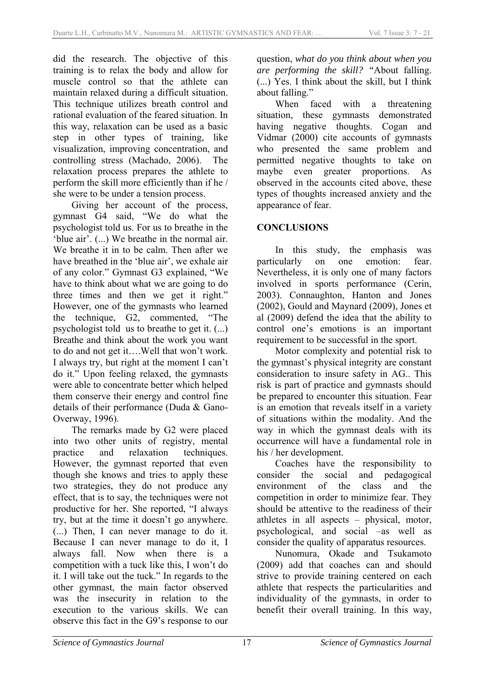did the research. The objective of this training is to relax the body and allow for muscle control so that the athlete can maintain relaxed during a difficult situation. This technique utilizes breath control and rational evaluation of the feared situation. In this way, relaxation can be used as a basic step in other types of training, like visualization, improving concentration, and controlling stress (Machado, 2006). The relaxation process prepares the athlete to perform the skill more efficiently than if he / she were to be under a tension process.

Giving her account of the process, gymnast G4 said, "We do what the psychologist told us. For us to breathe in the 'blue air'. (...) We breathe in the normal air. We breathe it in to be calm. Then after we have breathed in the 'blue air', we exhale air of any color." Gymnast G3 explained, "We have to think about what we are going to do three times and then we get it right." However, one of the gymnasts who learned the technique, G2, commented, "The psychologist told us to breathe to get it. (...) Breathe and think about the work you want to do and not get it….Well that won't work. I always try, but right at the moment I can't do it." Upon feeling relaxed, the gymnasts were able to concentrate better which helped them conserve their energy and control fine details of their performance (Duda & Gano-Overway, 1996).

The remarks made by G2 were placed into two other units of registry, mental practice and relaxation techniques. However, the gymnast reported that even though she knows and tries to apply these two strategies, they do not produce any effect, that is to say, the techniques were not productive for her. She reported, "I always try, but at the time it doesn't go anywhere. (...) Then, I can never manage to do it. Because I can never manage to do it, I always fall. Now when there is a competition with a tuck like this, I won't do it. I will take out the tuck." In regards to the other gymnast, the main factor observed was the insecurity in relation to the execution to the various skills. We can observe this fact in the G9's response to our question, *what do you think about when you are performing the skill? "*About falling. (...) Yes. I think about the skill, but I think about falling."

When faced with a threatening situation, these gymnasts demonstrated having negative thoughts. Cogan and Vidmar (2000) cite accounts of gymnasts who presented the same problem and permitted negative thoughts to take on maybe even greater proportions. As observed in the accounts cited above, these types of thoughts increased anxiety and the appearance of fear.

## **CONCLUSIONS**

In this study, the emphasis was particularly on one emotion: fear. Nevertheless, it is only one of many factors involved in sports performance (Cerin, 2003). Connaughton, Hanton and Jones (2002), Gould and Maynard (2009), Jones et al (2009) defend the idea that the ability to control one's emotions is an important requirement to be successful in the sport.

Motor complexity and potential risk to the gymnast's physical integrity are constant consideration to insure safety in AG.. This risk is part of practice and gymnasts should be prepared to encounter this situation. Fear is an emotion that reveals itself in a variety of situations within the modality. And the way in which the gymnast deals with its occurrence will have a fundamental role in his / her development.

Coaches have the responsibility to consider the social and pedagogical environment of the class and the competition in order to minimize fear. They should be attentive to the readiness of their athletes in all aspects – physical, motor, psychological, and social –as well as consider the quality of apparatus resources.

Nunomura, Okade and Tsukamoto (2009) add that coaches can and should strive to provide training centered on each athlete that respects the particularities and individuality of the gymnasts, in order to benefit their overall training. In this way,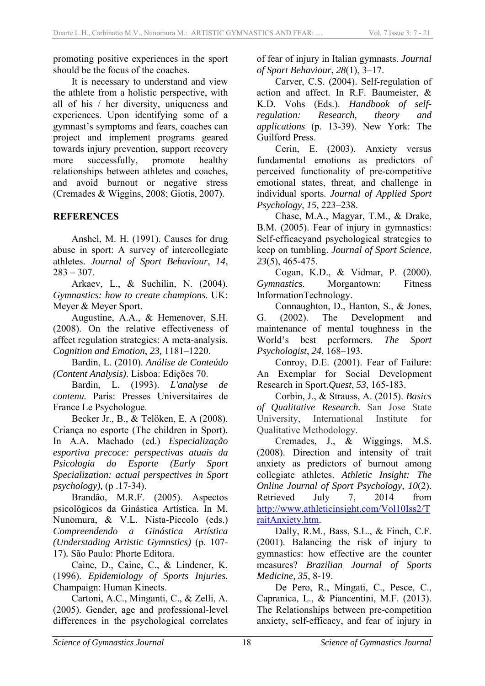promoting positive experiences in the sport should be the focus of the coaches.

It is necessary to understand and view the athlete from a holistic perspective, with all of his / her diversity, uniqueness and experiences. Upon identifying some of a gymnast's symptoms and fears, coaches can project and implement programs geared towards injury prevention, support recovery more successfully, promote healthy relationships between athletes and coaches, and avoid burnout or negative stress (Cremades & Wiggins, 2008; Giotis, 2007).

#### **REFERENCES**

Anshel, M. H. (1991). Causes for drug abuse in sport: A survey of intercollegiate athletes. *Journal of Sport Behaviour*, *14*,  $283 - 307$ 

Arkaev, L., & Suchilin, N. (2004). *Gymnastics: how to create champions*. UK: Meyer & Meyer Sport.

Augustine, A.A., & Hemenover, S.H. (2008). On the relative effectiveness of affect regulation strategies: A meta-analysis. *Cognition and Emotion*, *23,* 1181–1220.

Bardin, L. (2010). *Análise de Conteúdo (Content Analysis)*. Lisboa: Edições 70.

Bardin, L. (1993). *L'analyse de contenu.* Paris: Presses Universitaires de France Le Psychologue.

Becker Jr., B., & Telöken, E. A (2008). Criança no esporte (The children in Sport). In A.A. Machado (ed.) *Especialização esportiva precoce: perspectivas atuais da Psicologia do Esporte (Early Sport Specialization: actual perspectives in Sport psychology),* (p .17-34).

Brandão, M.R.F. (2005). Aspectos psicológicos da Ginástica Artística. In M. Nunomura, & V.L. Nista-Piccolo (eds.) *Compreendendo a Ginástica Artística (Understading Artistic Gymnstics)* (p. 107- 17)*.* São Paulo: Phorte Editora.

Caine, D., Caine, C., & Lindener, K. (1996). *Epidemiology of Sports Injuries*. Champaign: Human Kinects.

Cartoni, A.C., Minganti, C., & Zelli, A. (2005). Gender, age and professional-level differences in the psychological correlates of fear of injury in Italian gymnasts. *Journal of Sport Behaviour*, *28*(1), 3–17.

Carver, C.S. (2004). Self-regulation of action and affect. In R.F. Baumeister, & K.D. Vohs (Eds.). *Handbook of selfregulation: Research, theory and applications* (p. 13-39). New York: The Guilford Press.

Cerin, E. (2003). Anxiety versus fundamental emotions as predictors of perceived functionality of pre-competitive emotional states, threat, and challenge in individual sports. *Journal of Applied Sport Psychology*, *15*, 223–238.

Chase, M.A., Magyar, T.M., & Drake, B.M. (2005). Fear of injury in gymnastics: Self-efficacyand psychological strategies to keep on tumbling. *Journal of Sport Science*, *23*(5), 465-475.

Cogan, K.D., & Vidmar, P. (2000). *Gymnastics*. Morgantown: Fitness InformationTechnology.

Connaughton, D., Hanton, S., & Jones, G. (2002). The Development and maintenance of mental toughness in the World's best performers. *The Sport Psychologist*, *24*, 168–193.

Conroy, D.E. (2001). Fear of Failure: An Exemplar for Social Development Research in Sport.*Quest*, *53*, 165-183.

Corbin, J., & Strauss, A. (2015). *Basics of Qualitative Research.* San Jose State University, International Institute for Qualitative Methodology.

Cremades, J., & Wiggings, M.S. (2008). Direction and intensity of trait anxiety as predictors of burnout among collegiate athletes. *Athletic Insight: The Online Journal of Sport Psychology, 10*(2). Retrieved July 7, 2014 from http://www.athleticinsight.com/Vol10Iss2/T raitAnxiety.htm.

Dally, R.M., Bass, S.L., & Finch, C.F. (2001). Balancing the risk of injury to gymnastics: how effective are the counter measures? *Brazilian Journal of Sports Medicine, 35*, 8-19.

De Pero, R., Mingati, C., Pesce, C., Capranica, L., & Piancentini, M.F. (2013). The Relationships between pre-competition anxiety, self-efficacy, and fear of injury in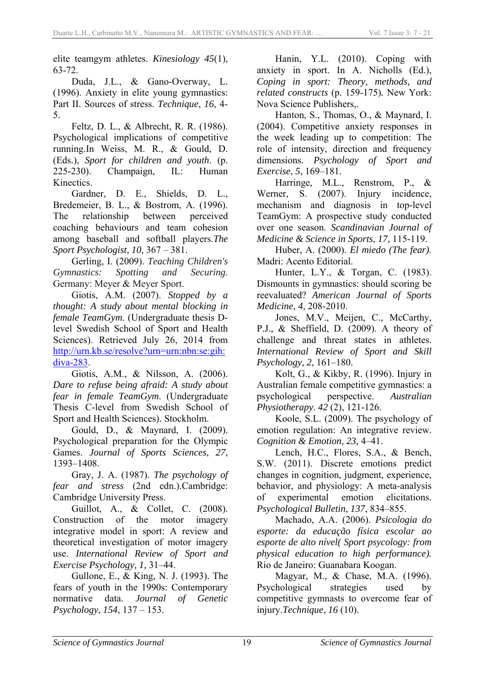elite teamgym athletes. *Kinesiology 45*(1), 63-72.

Duda, J.L., & Gano-Overway, L. (1996). Anxiety in elite young gymnastics: Part II. Sources of stress. *Technique*, *16*, 4- 5.

Feltz, D. L., & Albrecht, R. R. (1986). Psychological implications of competitive running.In Weiss, M. R., & Gould, D. (Eds.), *Sport for children and youth*. (p. 225-230). Champaign, IL: Human Kinectics.

Gardner, D. E., Shields, D. L., Bredemeier, B. L., & Bostrom, A. (1996). The relationship between perceived coaching behaviours and team cohesion among baseball and softball players.*The Sport Psychologist*, *10,* 367 – 381.

Gerling, I. (2009). *Teaching Children's Gymnastics: Spotting and Securing*. Germany: Meyer & Meyer Sport.

Giotis, A.M. (2007). *Stopped by a thought: A study about mental blocking in female TeamGym*. (Undergraduate thesis Dlevel Swedish School of Sport and Health Sciences). Retrieved July 26, 2014 from http://urn.kb.se/resolve?urn=urn:nbn:se:gih: diva-283.

Giotis, A.M., & Nilsson, A. (2006). *Dare to refuse being afraid: A study about fear in female TeamGym*. (Undergraduate Thesis C-level from Swedish School of Sport and Health Sciences). Stockholm.

Gould, D., & Maynard, I. (2009). Psychological preparation for the Olympic Games. *Journal of Sports Sciences*, *27*, 1393–1408.

Gray, J. A. (1987). *The psychology of fear and stress* (2nd edn.).Cambridge: Cambridge University Press.

Guillot, A., & Collet, C. (2008). Construction of the motor imagery integrative model in sport: A review and theoretical investigation of motor imagery use. *International Review of Sport and Exercise Psychology, 1,* 31–44.

Gullone, E., & King, N. J. (1993). The fears of youth in the 1990s: Contemporary normative data. *Journal of Genetic Psychology*, *154*, 137 – 153.

Hanin, Y.L. (2010). Coping with anxiety in sport. In A. Nicholls (Ed.), *Coping in sport: Theory, methods, and related constructs* (p. 159-175)*.* New York: Nova Science Publishers,.

Hanton, S., Thomas, O., & Maynard, I. (2004). Competitive anxiety responses in the week leading up to competition: The role of intensity, direction and frequency dimensions. *Psychology of Sport and Exercise*, *5*, 169–181.

Harringe, M.L., Renstrom, P., & Werner, S. (2007). Injury incidence, mechanism and diagnosis in top-level TeamGym: A prospective study conducted over one season. *Scandinavian Journal of Medicine & Science in Sports*, *17,* 115-119.

Huber, A. (2000). *El miedo (The fear)*. Madri: Acento Editorial.

Hunter, L.Y., & Torgan, C. (1983). Dismounts in gymnastics: should scoring be reevaluated? *American Journal of Sports Medicine*, *4*, 208-2010.

Jones, M.V., Meijen, C., McCarthy, P.J., & Sheffield, D. (2009). A theory of challenge and threat states in athletes. *International Review of Sport and Skill Psychology, 2*, 161–180.

Kolt, G., & Kikby, R. (1996). Injury in Australian female competitive gymnastics: a psychological perspective. *Australian Physiotherapy*. *42* (2), 121-126.

Koole, S.L. (2009). The psychology of emotion regulation: An integrative review. *Cognition & Emotion, 23,* 4–41.

Lench, H.C., Flores, S.A., & Bench, S.W. (2011). Discrete emotions predict changes in cognition, judgment, experience, behavior, and physiology: A meta-analysis of experimental emotion elicitations. *Psychological Bulletin*, *137*, 834–855.

Machado, A.A. (2006). *Psicologia do esporte: da educação física escolar ao esporte de alto nível( Sport psycology: from physical education to high performance).* Rio de Janeiro: Guanabara Koogan.

Magyar, M., & Chase, M.A. (1996). Psychological strategies used by competitive gymnasts to overcome fear of injury.*Technique*, *16* (10).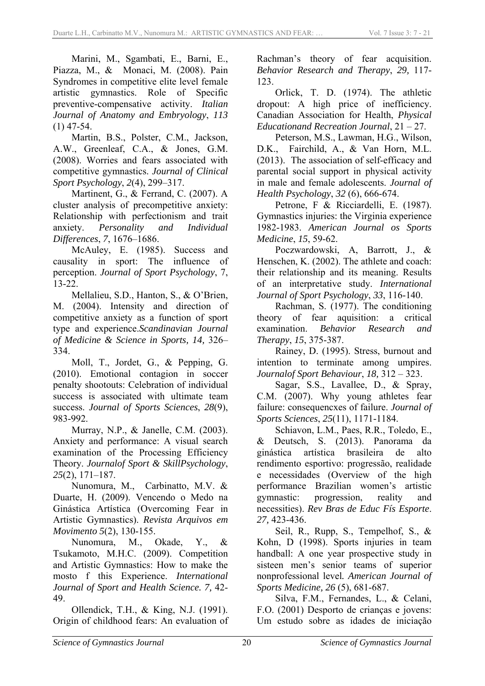Marini, M., Sgambati, E., Barni, E., Piazza, M., & Monaci, M. (2008). Pain Syndromes in competitive elite level female artistic gymnastics. Role of Specific preventive-compensative activity. *Italian Journal of Anatomy and Embryology*, *113* (1) 47-54.

Martin, B.S., Polster, C.M., Jackson, A.W., Greenleaf, C.A., & Jones, G.M. (2008). Worries and fears associated with competitive gymnastics. *Journal of Clinical Sport Psychology*, *2*(4), 299–317.

Martinent, G., & Ferrand, C. (2007). A cluster analysis of precompetitive anxiety: Relationship with perfectionism and trait anxiety. *Personality and Individual Differences*, *7*, 1676–1686.

McAuley, E. (1985). Success and causality in sport: The influence of perception. *Journal of Sport Psychology*, 7, 13-22.

Mellalieu, S.D., Hanton, S., & O'Brien, M. (2004). Intensity and direction of competitive anxiety as a function of sport type and experience.*Scandinavian Journal of Medicine & Science in Sports, 14,* 326– 334.

Moll, T., Jordet, G., & Pepping, G. (2010). Emotional contagion in soccer penalty shootouts: Celebration of individual success is associated with ultimate team success. *Journal of Sports Sciences*, *28*(9), 983-992.

Murray, N.P., & Janelle, C.M. (2003). Anxiety and performance: A visual search examination of the Processing Efficiency Theory. *Journalof Sport & SkillPsychology*, *25*(2), 171–187.

Nunomura, M., Carbinatto, M.V. & Duarte, H. (2009). Vencendo o Medo na Ginástica Artística (Overcoming Fear in Artistic Gymnastics). *Revista Arquivos em Movimento 5*(2), 130-155.

Nunomura, M., Okade, Y., & Tsukamoto, M.H.C. (2009). Competition and Artistic Gymnastics: How to make the mosto f this Experience. *International Journal of Sport and Health Science. 7,* 42- 49.

Ollendick, T.H., & King, N.J. (1991). Origin of childhood fears: An evaluation of Rachman's theory of fear acquisition. *Behavior Research and Therapy*, *29,* 117- 123.

Orlick, T. D. (1974). The athletic dropout: A high price of inefficiency. Canadian Association for Health, *Physical Educationand Recreation Journal*, 21 – 27.

Peterson, M.S., Lawman, H.G., Wilson, D.K., Fairchild, A., & Van Horn, M.L. (2013). The association of self-efficacy and parental social support in physical activity in male and female adolescents. *Journal of Health Psychology*, *32* (6), 666-674.

Petrone, F & Ricciardelli, E. (1987). Gymnastics injuries: the Virginia experience 1982-1983. *American Journal os Sports Medicine*, *15*, 59-62.

Poczwardowski, A, Barrott, J., & Henschen, K. (2002). The athlete and coach: their relationship and its meaning. Results of an interpretative study. *International Journal of Sport Psychology*, *33*, 116-140.

Rachman, S. (1977). The conditioning theory of fear aquisition: a critical examination. *Behavior Research and Therapy*, *15*, 375-387.

Rainey, D. (1995). Stress, burnout and intention to terminate among umpires. *Journalof Sport Behaviour*, *18,* 312 – 323.

Sagar, S.S., Lavallee, D., & Spray, C.M. (2007). Why young athletes fear failure: consequencxes of failure. *Journal of Sports Sciences*, *25*(11), 1171-1184.

Schiavon, L.M., Paes, R.R., Toledo, E., & Deutsch, S. (2013). Panorama da ginástica artística brasileira de alto rendimento esportivo: progressão, realidade e necessidades (Overview of the high performance Brazilian women's artistic gymnastic: progression, reality and necessities). *Rev Bras de Educ Fís Esporte*. *27,* 423-436.

Seil, R., Rupp, S., Tempelhof, S., & Kohn, D (1998). Sports injuries in team handball: A one year prospective study in sisteen men's senior teams of superior nonprofessional level*. American Journal of Sports Medicine, 26* (5), 681-687.

Silva, F.M., Fernandes, L., & Celani, F.O. (2001) Desporto de crianças e jovens: Um estudo sobre as idades de iniciação